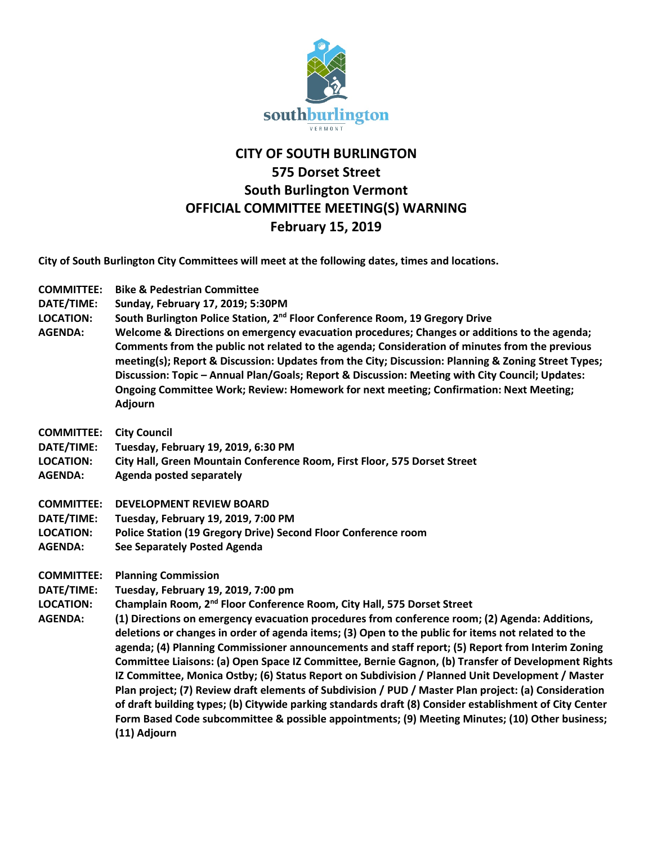

## **CITY OF SOUTH BURLINGTON 575 Dorset Street South Burlington Vermont OFFICIAL COMMITTEE MEETING(S) WARNING February 15, 2019**

**City of South Burlington City Committees will meet at the following dates, times and locations.** 

| <b>COMMITTEE:</b><br>DATE/TIME:<br><b>LOCATION:</b><br><b>AGENDA:</b> | <b>Bike &amp; Pedestrian Committee</b><br>Sunday, February 17, 2019; 5:30PM<br>South Burlington Police Station, 2 <sup>nd</sup> Floor Conference Room, 19 Gregory Drive<br>Welcome & Directions on emergency evacuation procedures; Changes or additions to the agenda;<br>Comments from the public not related to the agenda; Consideration of minutes from the previous<br>meeting(s); Report & Discussion: Updates from the City; Discussion: Planning & Zoning Street Types;<br>Discussion: Topic - Annual Plan/Goals; Report & Discussion: Meeting with City Council; Updates:<br>Ongoing Committee Work; Review: Homework for next meeting; Confirmation: Next Meeting;<br><b>Adjourn</b>                                                                                                                                                                                                                                                                                                                       |
|-----------------------------------------------------------------------|-----------------------------------------------------------------------------------------------------------------------------------------------------------------------------------------------------------------------------------------------------------------------------------------------------------------------------------------------------------------------------------------------------------------------------------------------------------------------------------------------------------------------------------------------------------------------------------------------------------------------------------------------------------------------------------------------------------------------------------------------------------------------------------------------------------------------------------------------------------------------------------------------------------------------------------------------------------------------------------------------------------------------|
| <b>COMMITTEE:</b>                                                     | <b>City Council</b>                                                                                                                                                                                                                                                                                                                                                                                                                                                                                                                                                                                                                                                                                                                                                                                                                                                                                                                                                                                                   |
| DATE/TIME:                                                            | Tuesday, February 19, 2019, 6:30 PM                                                                                                                                                                                                                                                                                                                                                                                                                                                                                                                                                                                                                                                                                                                                                                                                                                                                                                                                                                                   |
| <b>LOCATION:</b>                                                      | City Hall, Green Mountain Conference Room, First Floor, 575 Dorset Street                                                                                                                                                                                                                                                                                                                                                                                                                                                                                                                                                                                                                                                                                                                                                                                                                                                                                                                                             |
| <b>AGENDA:</b>                                                        | Agenda posted separately                                                                                                                                                                                                                                                                                                                                                                                                                                                                                                                                                                                                                                                                                                                                                                                                                                                                                                                                                                                              |
| <b>COMMITTEE:</b>                                                     | <b>DEVELOPMENT REVIEW BOARD</b>                                                                                                                                                                                                                                                                                                                                                                                                                                                                                                                                                                                                                                                                                                                                                                                                                                                                                                                                                                                       |
| DATE/TIME:                                                            | Tuesday, February 19, 2019, 7:00 PM                                                                                                                                                                                                                                                                                                                                                                                                                                                                                                                                                                                                                                                                                                                                                                                                                                                                                                                                                                                   |
| <b>LOCATION:</b>                                                      | Police Station (19 Gregory Drive) Second Floor Conference room                                                                                                                                                                                                                                                                                                                                                                                                                                                                                                                                                                                                                                                                                                                                                                                                                                                                                                                                                        |
| <b>AGENDA:</b>                                                        | <b>See Separately Posted Agenda</b>                                                                                                                                                                                                                                                                                                                                                                                                                                                                                                                                                                                                                                                                                                                                                                                                                                                                                                                                                                                   |
| <b>COMMITTEE:</b><br>DATE/TIME:<br><b>LOCATION:</b><br><b>AGENDA:</b> | <b>Planning Commission</b><br>Tuesday, February 19, 2019, 7:00 pm<br>Champlain Room, 2 <sup>nd</sup> Floor Conference Room, City Hall, 575 Dorset Street<br>(1) Directions on emergency evacuation procedures from conference room; (2) Agenda: Additions,<br>deletions or changes in order of agenda items; (3) Open to the public for items not related to the<br>agenda; (4) Planning Commissioner announcements and staff report; (5) Report from Interim Zoning<br>Committee Liaisons: (a) Open Space IZ Committee, Bernie Gagnon, (b) Transfer of Development Rights<br>IZ Committee, Monica Ostby; (6) Status Report on Subdivision / Planned Unit Development / Master<br>Plan project; (7) Review draft elements of Subdivision / PUD / Master Plan project: (a) Consideration<br>of draft building types; (b) Citywide parking standards draft (8) Consider establishment of City Center<br>Form Based Code subcommittee & possible appointments; (9) Meeting Minutes; (10) Other business;<br>(11) Adjourn |